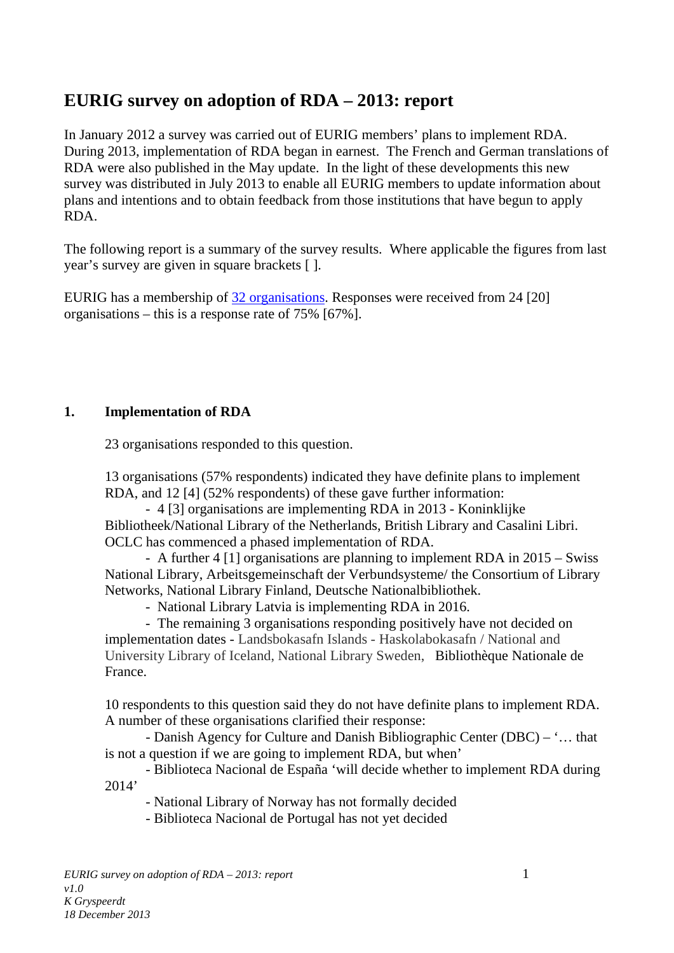# **EURIG survey on adoption of RDA – 2013: report**

In January 2012 a survey was carried out of EURIG members' plans to implement RDA. During 2013, implementation of RDA began in earnest. The French and German translations of RDA were also published in the May update. In the light of these developments this new survey was distributed in July 2013 to enable all EURIG members to update information about plans and intentions and to obtain feedback from those institutions that have begun to apply RDA.

The following report is a summary of the survey results. Where applicable the figures from last year's survey are given in square brackets [ ].

EURIG has a membership of 32 [organisations.](http://www.slainte.org.uk/eurig/members.htm) Responses were received from 24 [20] organisations – this is a response rate of 75% [67%].

## **1. Implementation of RDA**

23 organisations responded to this question.

13 organisations (57% respondents) indicated they have definite plans to implement RDA, and 12 [4] (52% respondents) of these gave further information:

- 4 [3] organisations are implementing RDA in 2013 - Koninklijke Bibliotheek/National Library of the Netherlands, British Library and Casalini Libri. OCLC has commenced a phased implementation of RDA.

- A further 4 [1] organisations are planning to implement RDA in 2015 – Swiss National Library, Arbeitsgemeinschaft der Verbundsysteme/ the Consortium of Library Networks, National Library Finland, Deutsche Nationalbibliothek.

- National Library Latvia is implementing RDA in 2016.

- The remaining 3 organisations responding positively have not decided on implementation dates - Landsbokasafn Islands - Haskolabokasafn / National and University Library of Iceland, National Library Sweden, Bibliothèque Nationale de France.

10 respondents to this question said they do not have definite plans to implement RDA. A number of these organisations clarified their response:

- Danish Agency for Culture and Danish Bibliographic Center (DBC) – '… that is not a question if we are going to implement RDA, but when'

- Biblioteca Nacional de España 'will decide whether to implement RDA during 2014'

- National Library of Norway has not formally decided

- Biblioteca Nacional de Portugal has not yet decided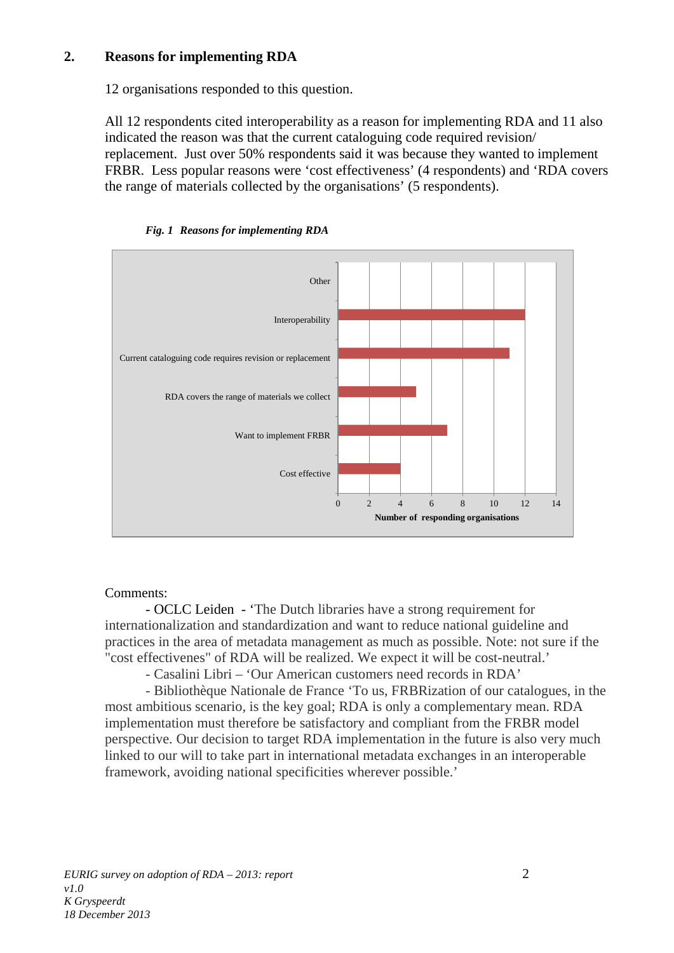## **2. Reasons for implementing RDA**

12 organisations responded to this question.

All 12 respondents cited interoperability as a reason for implementing RDA and 11 also indicated the reason was that the current cataloguing code required revision/ replacement. Just over 50% respondents said it was because they wanted to implement FRBR. Less popular reasons were 'cost effectiveness' (4 respondents) and 'RDA covers the range of materials collected by the organisations' (5 respondents).



*Fig. 1 Reasons for implementing RDA*

#### Comments:

- OCLC Leiden - 'The Dutch libraries have a strong requirement for internationalization and standardization and want to reduce national guideline and practices in the area of metadata management as much as possible. Note: not sure if the "cost effectivenes" of RDA will be realized. We expect it will be cost-neutral.'

- Casalini Libri – 'Our American customers need records in RDA'

- Bibliothèque Nationale de France 'To us, FRBRization of our catalogues, in the most ambitious scenario, is the key goal; RDA is only a complementary mean. RDA implementation must therefore be satisfactory and compliant from the FRBR model perspective. Our decision to target RDA implementation in the future is also very much linked to our will to take part in international metadata exchanges in an interoperable framework, avoiding national specificities wherever possible.'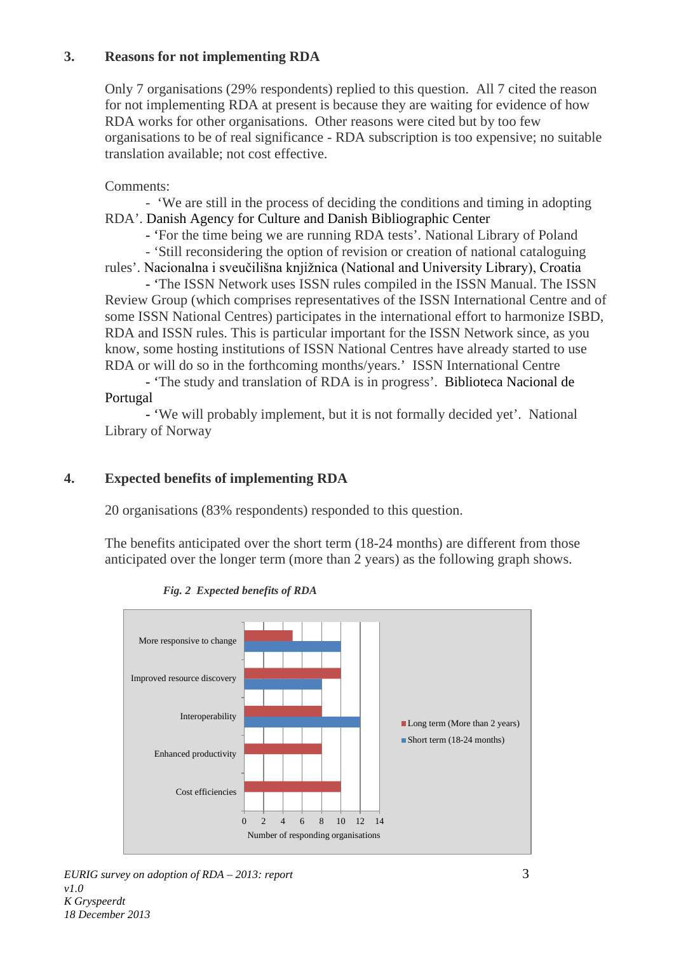## **3. Reasons for not implementing RDA**

Only 7 organisations (29% respondents) replied to this question. All 7 cited the reason for not implementing RDA at present is because they are waiting for evidence of how RDA works for other organisations. Other reasons were cited but by too few organisations to be of real significance - RDA subscription is too expensive; no suitable translation available; not cost effective.

Comments:

- 'We are still in the process of deciding the conditions and timing in adopting RDA'. Danish Agency for Culture and Danish Bibliographic Center

- 'For the time being we are running RDA tests'. National Library of Poland

- 'Still reconsidering the option of revision or creation of national cataloguing rules'. Nacionalna i sveučilišna knjižnica (National and University Library), Croatia

- 'The ISSN Network uses ISSN rules compiled in the ISSN Manual. The ISSN Review Group (which comprises representatives of the ISSN International Centre and of some ISSN National Centres) participates in the international effort to harmonize ISBD, RDA and ISSN rules. This is particular important for the ISSN Network since, as you know, some hosting institutions of ISSN National Centres have already started to use RDA or will do so in the forthcoming months/years.' ISSN International Centre

- 'The study and translation of RDA is in progress'. Biblioteca Nacional de Portugal

- 'We will probably implement, but it is not formally decided yet'. National Library of Norway

## **4. Expected benefits of implementing RDA**

20 organisations (83% respondents) responded to this question.

The benefits anticipated over the short term (18-24 months) are different from those anticipated over the longer term (more than 2 years) as the following graph shows.



 *Fig. 2 Expected benefits of RDA*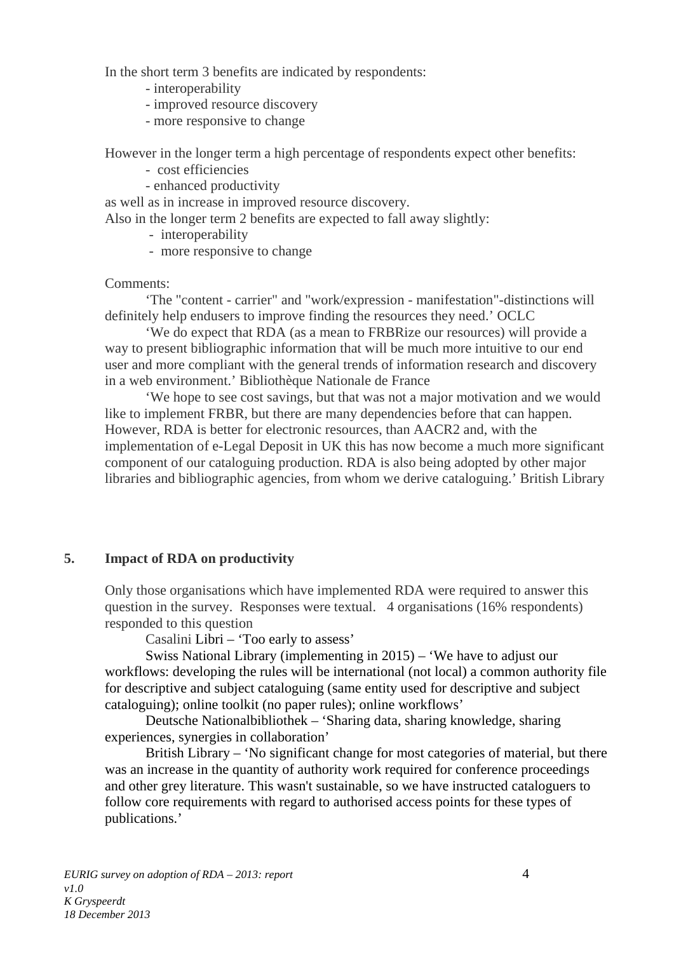In the short term 3 benefits are indicated by respondents:

- interoperability
- improved resource discovery
- more responsive to change

However in the longer term a high percentage of respondents expect other benefits:

- cost efficiencies
- enhanced productivity

as well as in increase in improved resource discovery.

Also in the longer term 2 benefits are expected to fall away slightly:

- interoperability
- more responsive to change

#### Comments:

'The "content - carrier" and "work/expression - manifestation"-distinctions will definitely help endusers to improve finding the resources they need.' OCLC

'We do expect that RDA (as a mean to FRBRize our resources) will provide a way to present bibliographic information that will be much more intuitive to our end user and more compliant with the general trends of information research and discovery in a web environment.' Bibliothèque Nationale de France

'We hope to see cost savings, but that was not a major motivation and we would like to implement FRBR, but there are many dependencies before that can happen. However, RDA is better for electronic resources, than AACR2 and, with the implementation of e-Legal Deposit in UK this has now become a much more significant component of our cataloguing production. RDA is also being adopted by other major libraries and bibliographic agencies, from whom we derive cataloguing.' British Library

#### **5. Impact of RDA on productivity**

Only those organisations which have implemented RDA were required to answer this question in the survey. Responses were textual. 4 organisations (16% respondents) responded to this question

Casalini Libri – 'Too early to assess'

Swiss National Library (implementing in 2015) – 'We have to adjust our workflows: developing the rules will be international (not local) a common authority file for descriptive and subject cataloguing (same entity used for descriptive and subject cataloguing); online toolkit (no paper rules); online workflows'

Deutsche Nationalbibliothek – 'Sharing data, sharing knowledge, sharing experiences, synergies in collaboration'

British Library – 'No significant change for most categories of material, but there was an increase in the quantity of authority work required for conference proceedings and other grey literature. This wasn't sustainable, so we have instructed cataloguers to follow core requirements with regard to authorised access points for these types of publications.'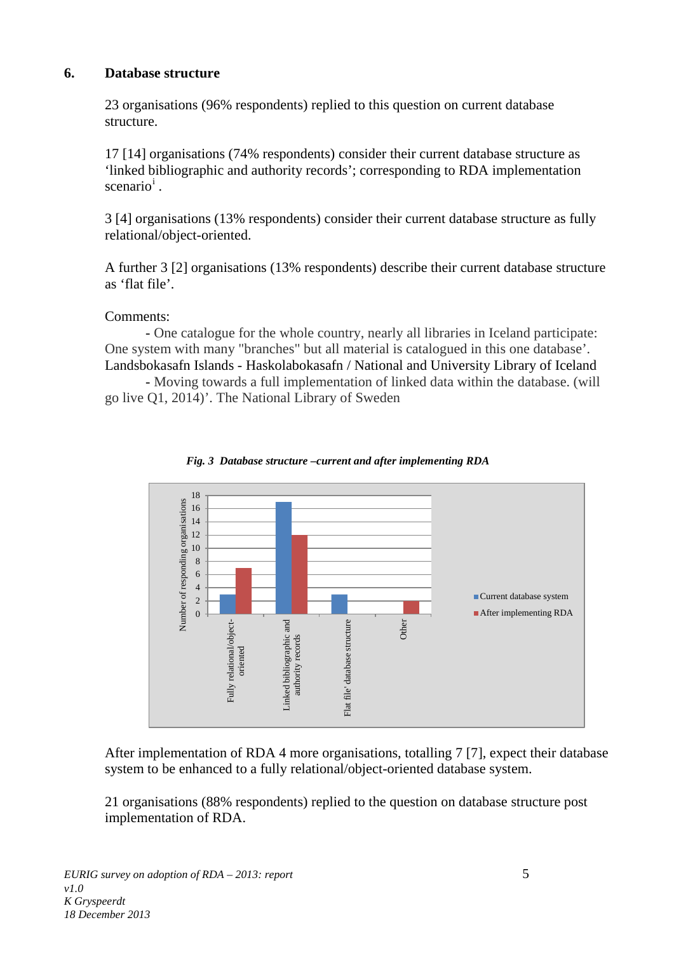## **6. Database structure**

23 organisations (96% respondents) replied to this question on current database structure.

17 [14] organisations (74% respondents) consider their current database structure as 'linked bibliographic and authority records'; corresponding to RDA implementation scenar[i](#page-6-0)o<sup>i</sup>.

3 [4] organisations (13% respondents) consider their current database structure as fully relational/object-oriented.

A further 3 [2] organisations (13% respondents) describe their current database structure as 'flat file'.

## Comments:

- One catalogue for the whole country, nearly all libraries in Iceland participate: One system with many "branches" but all material is catalogued in this one database'. Landsbokasafn Islands - Haskolabokasafn / National and University Library of Iceland

- Moving towards a full implementation of linked data within the database. (will go live Q1, 2014)'. The National Library of Sweden





After implementation of RDA 4 more organisations, totalling 7 [7], expect their database system to be enhanced to a fully relational/object-oriented database system.

21 organisations (88% respondents) replied to the question on database structure post implementation of RDA.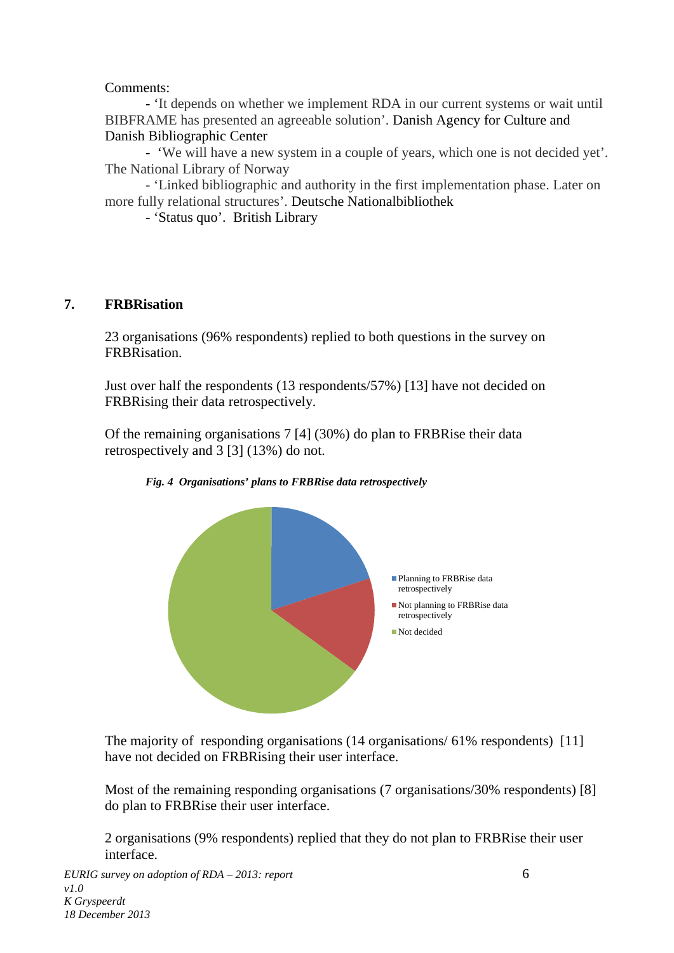## Comments:

- 'It depends on whether we implement RDA in our current systems or wait until BIBFRAME has presented an agreeable solution'. Danish Agency for Culture and Danish Bibliographic Center

- 'We will have a new system in a couple of years, which one is not decided yet'. The National Library of Norway

- 'Linked bibliographic and authority in the first implementation phase. Later on more fully relational structures'. Deutsche Nationalbibliothek

- 'Status quo'. British Library

## **7. FRBRisation**

23 organisations (96% respondents) replied to both questions in the survey on FRBRisation.

Just over half the respondents (13 respondents/57%) [13] have not decided on FRBRising their data retrospectively.

Of the remaining organisations 7 [4] (30%) do plan to FRBRise their data retrospectively and 3 [3] (13%) do not.



*Fig. 4 Organisations' plans to FRBRise data retrospectively*

The majority of responding organisations (14 organisations/ 61% respondents) [11] have not decided on FRBRising their user interface.

Most of the remaining responding organisations (7 organisations/30% respondents) [8] do plan to FRBRise their user interface.

2 organisations (9% respondents) replied that they do not plan to FRBRise their user interface.